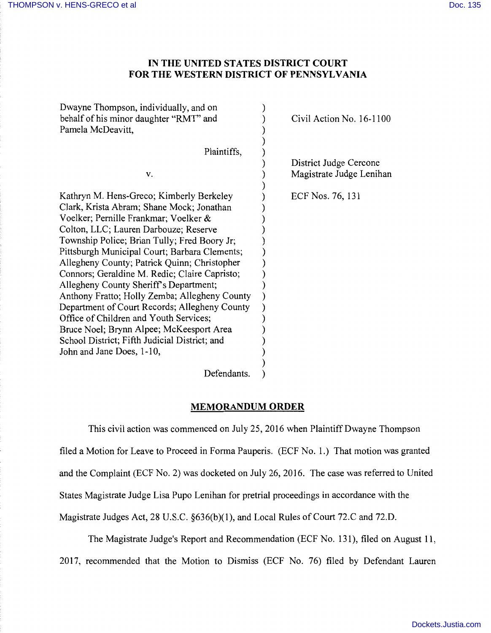## **IN THE UNITED STATES DISTRICT COURT FOR THE WESTERN DISTRICT OF PENNSYLVANIA**

| Dwayne Thompson, individually, and on<br>behalf of his minor daughter "RMT" and<br>Pamela McDeavitt, |                  | Civil Action No. $16-1100$ |
|------------------------------------------------------------------------------------------------------|------------------|----------------------------|
| Plaintiffs,                                                                                          |                  |                            |
|                                                                                                      |                  | District Judge Cercone     |
| v.                                                                                                   |                  | Magistrate Judge Lenihan   |
|                                                                                                      |                  |                            |
| Kathryn M. Hens-Greco; Kimberly Berkeley                                                             | ECF Nos. 76, 131 |                            |
| Clark, Krista Abram; Shane Mock; Jonathan                                                            |                  |                            |
| Voelker; Pernille Frankmar; Voelker &                                                                |                  |                            |
| Colton, LLC; Lauren Darbouze; Reserve                                                                |                  |                            |
| Township Police; Brian Tully; Fred Boory Jr;                                                         |                  |                            |
| Pittsburgh Municipal Court; Barbara Clements;                                                        |                  |                            |
| Allegheny County; Patrick Quinn; Christopher                                                         |                  |                            |
| Connors; Geraldine M. Redic; Claire Capristo;                                                        |                  |                            |
| Allegheny County Sheriff's Department;                                                               |                  |                            |
| Anthony Fratto; Holly Zemba; Allegheny County                                                        |                  |                            |
| Department of Court Records; Allegheny County                                                        |                  |                            |
| Office of Children and Youth Services;                                                               |                  |                            |
| Bruce Noel; Brynn Alpee; McKeesport Area                                                             |                  |                            |
| School District; Fifth Judicial District; and                                                        |                  |                            |
| John and Jane Does, 1-10,                                                                            |                  |                            |
|                                                                                                      |                  |                            |
| Defendants.                                                                                          |                  |                            |

## **MEMORANDUM ORDER**

This civil action was commenced on July 25, 2016 when Plaintiff Dwayne Thompson filed a Motion for Leave to Proceed in Forma Pauperis. (ECF No. 1.) That motion was granted and the Complaint (ECF No. 2) was docketed on July 26, 2016. The case was referred to United States Magistrate Judge Lisa Pupo Lenihan for pretrial proceedings in accordance with the Magistrate Judges Act, 28 U.S.C. §636(b)(l), and Local Rules of Court 72.C and 72.D.

The Magistrate Judge's Report and Recommendation (ECF No. 131), filed on August 11, 2017, recommended that the Motion to Dismiss (ECF No. 76) filed by Defendant Lauren